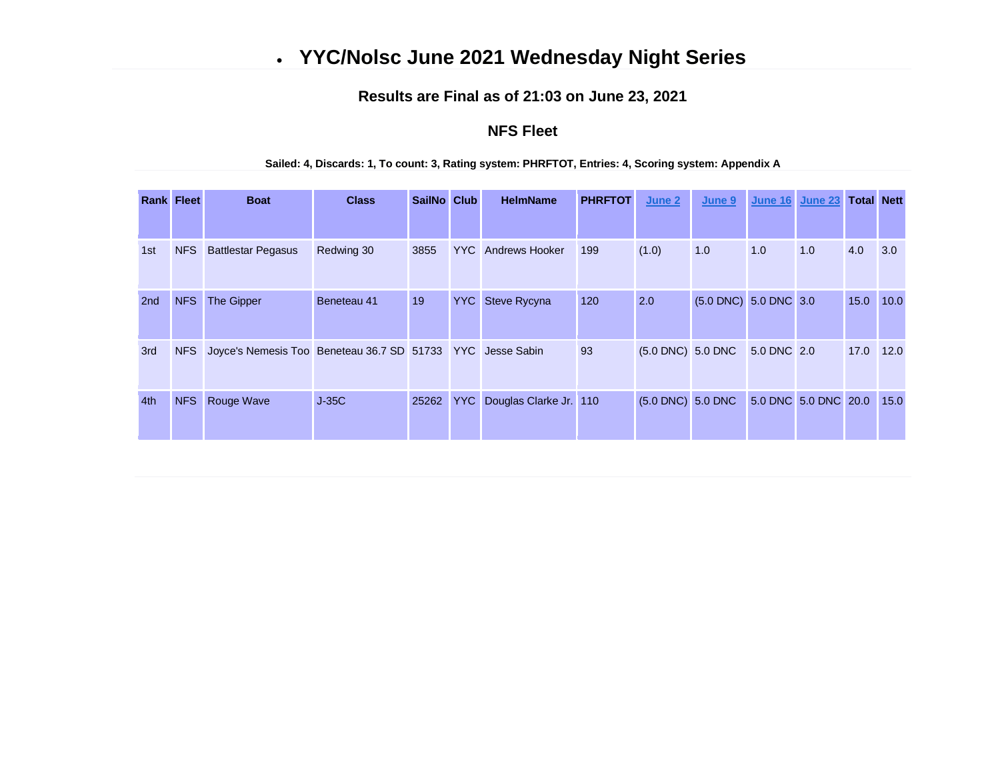# • **YYC/Nolsc June 2021 Wednesday Night Series**

### **Results are Final as of 21:03 on June 23, 2021**

### **NFS Fleet**

#### **Sailed: 4, Discards: 1, To count: 3, Rating system: PHRFTOT, Entries: 4, Scoring system: Appendix A**

| <b>Rank Fleet</b> |            | <b>Boat</b>                                                | <b>Class</b> | SailNo Club |     | <b>HelmName</b>           | <b>PHRFTOT</b> | June 2                 | June 9                | June 16     | <b>June 23</b>       | <b>Total Nett</b> |      |
|-------------------|------------|------------------------------------------------------------|--------------|-------------|-----|---------------------------|----------------|------------------------|-----------------------|-------------|----------------------|-------------------|------|
|                   |            |                                                            |              |             |     |                           |                |                        |                       |             |                      |                   |      |
| 1st               | <b>NFS</b> | <b>Battlestar Pegasus</b>                                  | Redwing 30   | 3855        |     | <b>YYC</b> Andrews Hooker | 199            | (1.0)                  | 1.0                   | 1.0         | 1.0                  | 4.0               | 3.0  |
| 2 <sub>nd</sub>   | <b>NFS</b> | The Gipper                                                 | Beneteau 41  | 19          |     | <b>YYC</b> Steve Rycyna   | 120            | 2.0                    | (5.0 DNC) 5.0 DNC 3.0 |             |                      | 15.0              | 10.0 |
| 3rd               | <b>NFS</b> | Joyce's Nemesis Too Beneteau 36.7 SD 51733 YYC Jesse Sabin |              |             |     |                           | 93             | $(5.0$ DNC $)$ 5.0 DNC |                       | 5.0 DNC 2.0 |                      | 17.0              | 12.0 |
| 4th               | <b>NFS</b> | <b>Rouge Wave</b>                                          | $J-35C$      | 25262       | YYC | Douglas Clarke Jr. 110    |                | (5.0 DNC) 5.0 DNC      |                       |             | 5.0 DNC 5.0 DNC 20.0 |                   | 15.0 |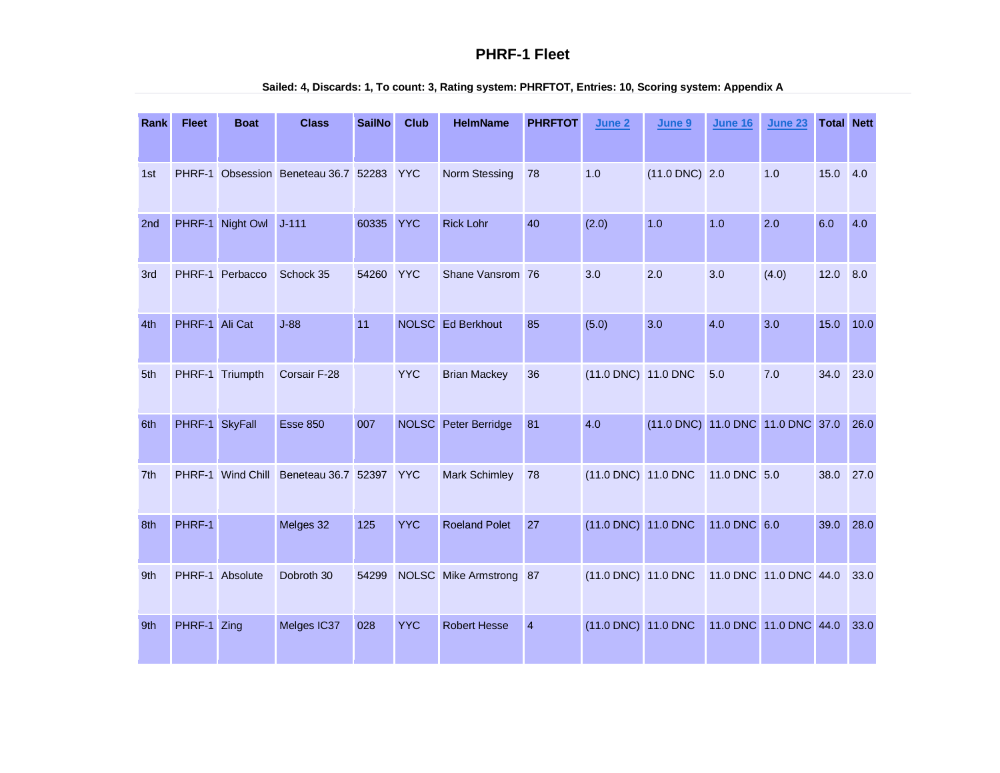### **PHRF-1 Fleet**

| Rank | <b>Fleet</b>   | <b>Boat</b>       | <b>Class</b>                         | <b>SailNo</b> | <b>Club</b>  | <b>HelmName</b>      | <b>PHRFTOT</b> | June 2              | June 9                            | <b>June 16</b> | <b>June 23</b>         | <b>Total Nett</b> |      |
|------|----------------|-------------------|--------------------------------------|---------------|--------------|----------------------|----------------|---------------------|-----------------------------------|----------------|------------------------|-------------------|------|
| 1st  |                |                   | PHRF-1 Obsession Beneteau 36.7 52283 |               | <b>YYC</b>   | Norm Stessing        | 78             | 1.0                 | $(11.0$ DNC) 2.0                  |                | 1.0                    | 15.0              | 4.0  |
| 2nd  | PHRF-1         | Night Owl         | $J - 111$                            | 60335         | <b>YYC</b>   | <b>Rick Lohr</b>     | 40             | (2.0)               | 1.0                               | 1.0            | 2.0                    | 6.0               | 4.0  |
| 3rd  |                | PHRF-1 Perbacco   | Schock 35                            | 54260         | <b>YYC</b>   | Shane Vansrom 76     |                | 3.0                 | 2.0                               | 3.0            | (4.0)                  | 12.0              | 8.0  |
| 4th  | PHRF-1 Ali Cat |                   | $J-88$                               | 11            |              | NOLSC Ed Berkhout    | 85             | (5.0)               | 3.0                               | 4.0            | 3.0                    | 15.0              | 10.0 |
| 5th  |                | PHRF-1 Triumpth   | Corsair F-28                         |               | <b>YYC</b>   | <b>Brian Mackey</b>  | 36             | (11.0 DNC) 11.0 DNC |                                   | 5.0            | 7.0                    | 34.0              | 23.0 |
| 6th  | PHRF-1 SkyFall |                   | <b>Esse 850</b>                      | 007           | <b>NOLSC</b> | Peter Berridge       | 81             | 4.0                 | (11.0 DNC) 11.0 DNC 11.0 DNC 37.0 |                |                        |                   | 26.0 |
| 7th  |                | PHRF-1 Wind Chill | Beneteau 36.7 52397                  |               | <b>YYC</b>   | Mark Schimley        | 78             | (11.0 DNC) 11.0 DNC |                                   | 11.0 DNC 5.0   |                        | 38.0              | 27.0 |
| 8th  | PHRF-1         |                   | Melges 32                            | 125           | <b>YYC</b>   | <b>Roeland Polet</b> | 27             | (11.0 DNC) 11.0 DNC |                                   | 11.0 DNC 6.0   |                        | 39.0              | 28.0 |
| 9th  |                | PHRF-1 Absolute   | Dobroth 30                           | 54299         |              | NOLSC Mike Armstrong | 87             | (11.0 DNC) 11.0 DNC |                                   |                | 11.0 DNC 11.0 DNC 44.0 |                   | 33.0 |
| 9th  | PHRF-1         | Zing              | Melges IC37                          | 028           | <b>YYC</b>   | <b>Robert Hesse</b>  | $\overline{4}$ | (11.0 DNC) 11.0 DNC |                                   |                | 11.0 DNC 11.0 DNC 44.0 |                   | 33.0 |

#### **Sailed: 4, Discards: 1, To count: 3, Rating system: PHRFTOT, Entries: 10, Scoring system: Appendix A**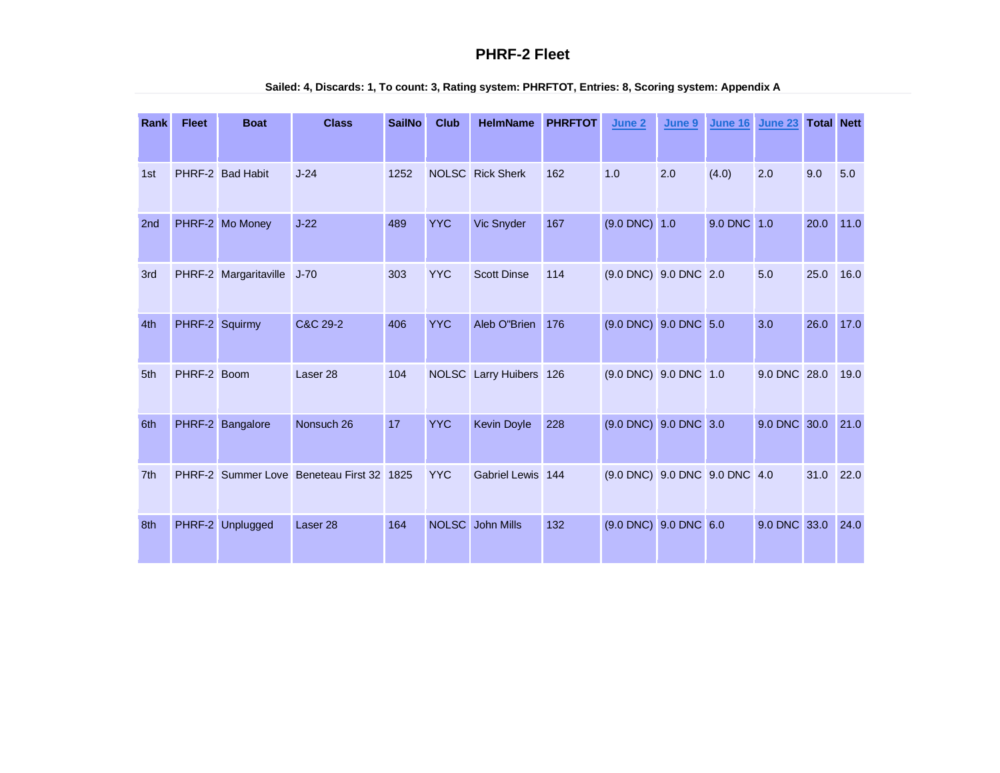### **PHRF-2 Fleet**

| Rank            | <b>Fleet</b>   | <b>Boat</b>           | <b>Class</b>                       | <b>SailNo</b> | <b>Club</b>  | <b>HelmName</b>         | <b>PHRFTOT</b> | June 2                          | June 9  | <b>June 16</b> | <b>June 23</b> | <b>Total Nett</b> |      |
|-----------------|----------------|-----------------------|------------------------------------|---------------|--------------|-------------------------|----------------|---------------------------------|---------|----------------|----------------|-------------------|------|
| 1st             |                | PHRF-2 Bad Habit      | $J-24$                             | 1252          |              | <b>NOLSC</b> Rick Sherk | 162            | 1.0                             | 2.0     | (4.0)          | 2.0            | 9.0               | 5.0  |
| 2 <sub>nd</sub> |                | PHRF-2 Mo Money       | $J-22$                             | 489           | <b>YYC</b>   | Vic Snyder              | 167            | $(9.0$ DNC $)$                  | 1.0     | <b>9.0 DNC</b> | 1.0            | 20.0              | 11.0 |
| 3rd             |                | PHRF-2 Margaritaville | $J-70$                             | 303           | <b>YYC</b>   | <b>Scott Dinse</b>      | 114            | (9.0 DNC) 9.0 DNC 2.0           |         |                | 5.0            | 25.0              | 16.0 |
| 4th             | PHRF-2 Squirmy |                       | C&C 29-2                           | 406           | <b>YYC</b>   | Aleb O"Brien            | 176            | (9.0 DNC) 9.0 DNC 5.0           |         |                | 3.0            | 26.0              | 17.0 |
| 5th             | PHRF-2 Boom    |                       | Laser <sub>28</sub>                | 104           |              | NOLSC Larry Huibers 126 |                | $(9.0 \text{ DNC})$ 9.0 DNC 1.0 |         |                | 9.0 DNC 28.0   |                   | 19.0 |
| 6th             | PHRF-2         | Bangalore             | Nonsuch 26                         | 17            | <b>YYC</b>   | <b>Kevin Doyle</b>      | 228            | $(9.0$ DNC $)$                  | 9.0 DNC | 3.0            | 9.0 DNC        | 30.0              | 21.0 |
| 7th             | PHRF-2         |                       | Summer Love Beneteau First 32 1825 |               | <b>YYC</b>   | Gabriel Lewis 144       |                | (9.0 DNC) 9.0 DNC 9.0 DNC 4.0   |         |                |                | 31.0              | 22.0 |
| 8th             |                | PHRF-2 Unplugged      | Laser <sub>28</sub>                | 164           | <b>NOLSC</b> | <b>John Mills</b>       | 132            | $(9.0 \text{ DNC})$ 9.0 DNC 6.0 |         |                | 9.0 DNC 33.0   |                   | 24.0 |

### **Sailed: 4, Discards: 1, To count: 3, Rating system: PHRFTOT, Entries: 8, Scoring system: Appendix A**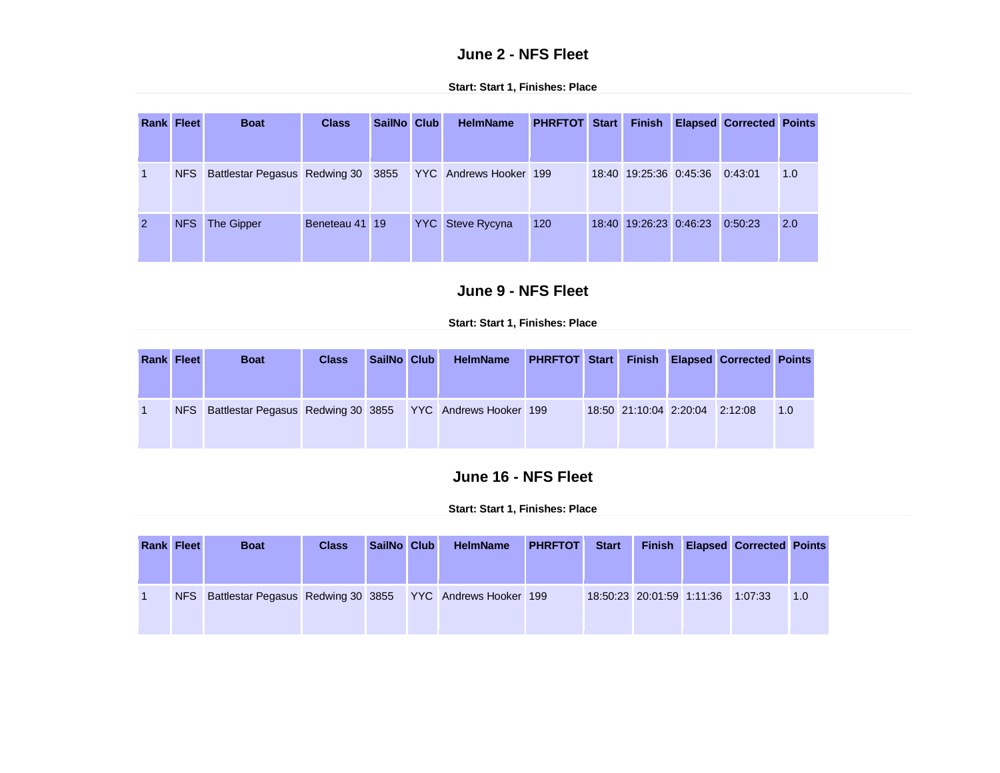## **June 2 - NFS Fleet**

|                | <b>Rank Fleet</b> | <b>Boat</b>                                                   | <b>Class</b>   | SailNo Club | <b>HelmName</b>         | <b>PHRFTOT Start</b> | <b>Finish</b>                  | <b>Elapsed Corrected Points</b> |     |
|----------------|-------------------|---------------------------------------------------------------|----------------|-------------|-------------------------|----------------------|--------------------------------|---------------------------------|-----|
|                |                   |                                                               |                |             |                         |                      |                                |                                 |     |
| $\blacksquare$ |                   | NFS Battlestar Pegasus Redwing 30 3855 YYC Andrews Hooker 199 |                |             |                         |                      | 18:40 19:25:36 0:45:36 0:43:01 |                                 | 1.0 |
| $\overline{2}$ | NFS               | The Gipper                                                    | Beneteau 41 19 |             | <b>YYC</b> Steve Rycyna | 120                  | 18:40 19:26:23 0:46:23         | 0:50:23                         | 2.0 |

#### **Start: Start 1, Finishes: Place**

## **June 9 - NFS Fleet**

### **Start: Start 1, Finishes: Place**

| <b>Rank Fleet</b> | <b>Boat</b>                                                   | <b>Class</b> | SailNo Club | <b>HelmName</b> | <b>PHRFTOT Start Finish Elapsed Corrected Points</b> |                        |         |     |
|-------------------|---------------------------------------------------------------|--------------|-------------|-----------------|------------------------------------------------------|------------------------|---------|-----|
|                   | NFS Battlestar Pegasus Redwing 30 3855 YYC Andrews Hooker 199 |              |             |                 |                                                      | 18:50 21:10:04 2:20:04 | 2:12:08 | 1.0 |

## **June 16 - NFS Fleet**

| <b>Rank Fleet</b> | <b>Boat</b>                                                   | <b>Class</b> | SailNo Club | <b>HelmName</b> | <b>PHRFTOT</b> | <b>Start</b> |                           | <b>Finish Elapsed Corrected Points</b> |     |
|-------------------|---------------------------------------------------------------|--------------|-------------|-----------------|----------------|--------------|---------------------------|----------------------------------------|-----|
|                   | NFS Battlestar Pegasus Redwing 30 3855 YYC Andrews Hooker 199 |              |             |                 |                |              | 18:50:23 20:01:59 1:11:36 | 1:07:33                                | 1.0 |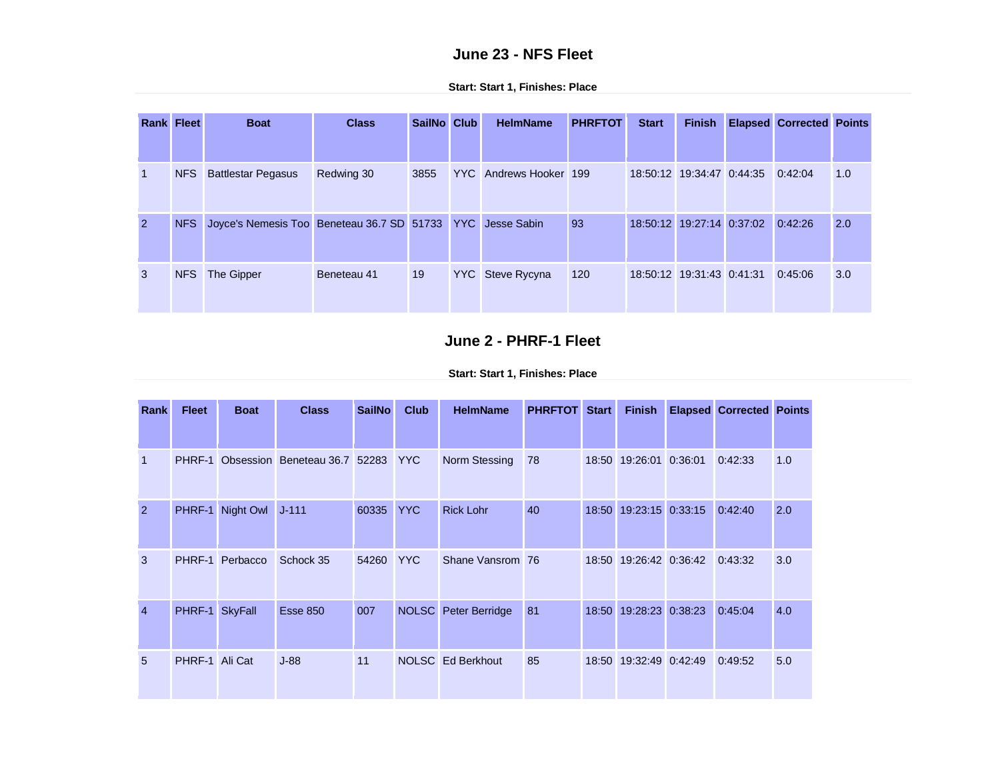## **June 23 - NFS Fleet**

| <b>Rank Fleet</b> |            | <b>Boat</b>                                                | <b>Class</b> | SailNo Club | <b>HelmName</b>        | <b>PHRFTOT</b> | <b>Start</b>              | <b>Finish</b>             | <b>Elapsed Corrected Points</b> |     |
|-------------------|------------|------------------------------------------------------------|--------------|-------------|------------------------|----------------|---------------------------|---------------------------|---------------------------------|-----|
| $\vert$ 1         | <b>NFS</b> | <b>Battlestar Pegasus</b>                                  | Redwing 30   | 3855        | YYC Andrews Hooker 199 |                | 18:50:12 19:34:47 0:44:35 |                           | 0:42:04                         | 1.0 |
| $\overline{2}$    | <b>NFS</b> | Joyce's Nemesis Too Beneteau 36.7 SD 51733 YYC Jesse Sabin |              |             |                        | 93             |                           | 18:50:12 19:27:14 0:37:02 | 0:42:26                         | 2.0 |
| 3                 | <b>NFS</b> | The Gipper                                                 | Beneteau 41  | 19          | YYC Steve Rycyna       | 120            | 18:50:12 19:31:43 0:41:31 |                           | 0:45:06                         | 3.0 |

**Start: Start 1, Finishes: Place**

## **June 2 - PHRF-1 Fleet**

| Rank           | <b>Fleet</b>   | <b>Boat</b>      | <b>Class</b>                  | <b>SailNo</b> | <b>Club</b> | <b>HelmName</b>      | <b>PHRFTOT</b> | <b>Start</b> | <b>Finish</b>          | <b>Elapsed Corrected Points</b> |     |
|----------------|----------------|------------------|-------------------------------|---------------|-------------|----------------------|----------------|--------------|------------------------|---------------------------------|-----|
|                |                |                  |                               |               |             |                      |                |              |                        |                                 |     |
| $\mathbf{1}$   | PHRF-1         |                  | Obsession Beneteau 36.7 52283 |               | <b>YYC</b>  | Norm Stessing        | 78             |              | 18:50 19:26:01 0:36:01 | 0:42:33                         | 1.0 |
| $\overline{2}$ |                | PHRF-1 Night Owl | $J - 111$                     | 60335         | YYC.        | <b>Rick Lohr</b>     | 40             | 18:50        | 19:23:15 0:33:15       | 0:42:40                         | 2.0 |
| 3              | PHRF-1         | Perbacco         | Schock 35                     | 54260         | <b>YYC</b>  | Shane Vansrom 76     |                |              | 18:50 19:26:42 0:36:42 | 0:43:32                         | 3.0 |
| $\overline{4}$ | PHRF-1 SkyFall |                  | <b>Esse 850</b>               | 007           |             | NOLSC Peter Berridge | 81             |              | 18:50 19:28:23 0:38:23 | 0:45:04                         | 4.0 |
| 5              | PHRF-1 Ali Cat |                  | $J-88$                        | 11            |             | NOLSC Ed Berkhout    | 85             |              | 18:50 19:32:49 0:42:49 | 0:49:52                         | 5.0 |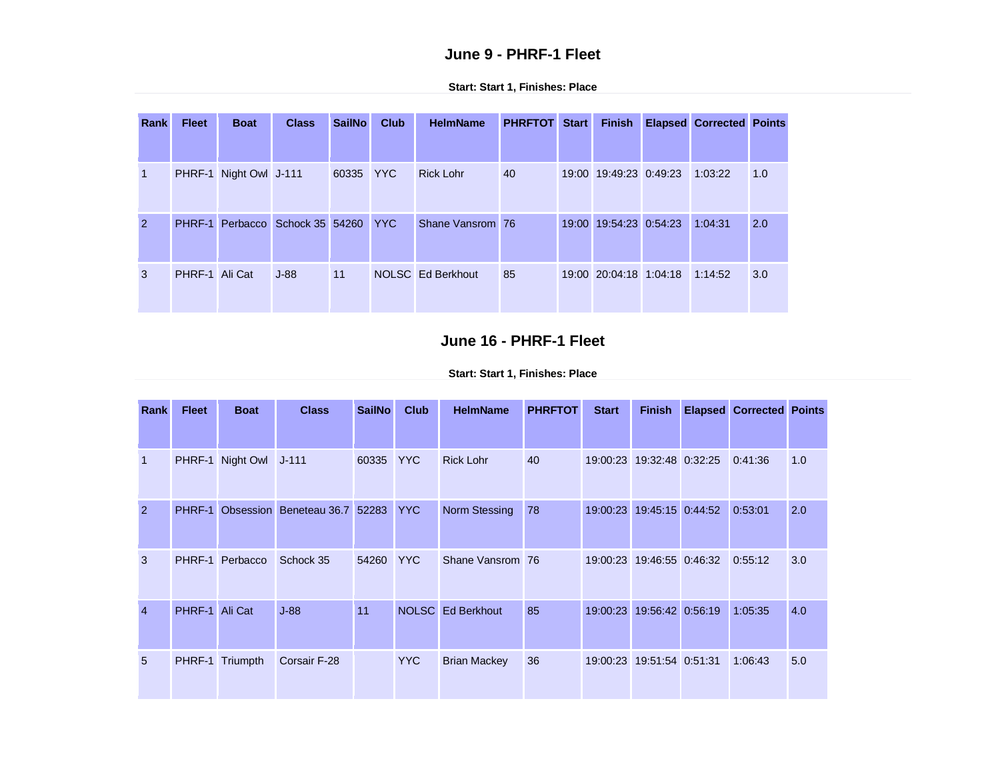### **June 9 - PHRF-1 Fleet**

| Rank           | <b>Fleet</b>   | <b>Boat</b>            | <b>Class</b>                        | <b>SailNo</b> | <b>Club</b> | <b>HelmName</b>   | <b>PHRFTOT Start</b> | <b>Finish</b>          | <b>Elapsed Corrected Points</b> |     |
|----------------|----------------|------------------------|-------------------------------------|---------------|-------------|-------------------|----------------------|------------------------|---------------------------------|-----|
|                |                |                        |                                     |               |             |                   |                      |                        |                                 |     |
| 1              |                | PHRF-1 Night Owl J-111 |                                     | 60335 YYC     |             | <b>Rick Lohr</b>  | 40                   | 19:00 19:49:23 0:49:23 | 1:03:22                         | 1.0 |
| $\overline{2}$ |                |                        | PHRF-1 Perbacco Schock 35 54260 YYC |               |             | Shane Vansrom 76  |                      | 19:00 19:54:23 0:54:23 | 1:04:31                         | 2.0 |
| 3              | PHRF-1 Ali Cat |                        | $J-88$                              | 11            |             | NOLSC Ed Berkhout | 85                   | 19:00 20:04:18 1:04:18 | 1:14:52                         | 3.0 |

**Start: Start 1, Finishes: Place**

## **June 16 - PHRF-1 Fleet**

**Start: Start 1, Finishes: Place**

| Rank           | <b>Fleet</b> | <b>Boat</b>            | <b>Class</b>                  | <b>SailNo</b> | <b>Club</b> | <b>HelmName</b>     | <b>PHRFTOT</b> | <b>Start</b> | <b>Finish</b>             | <b>Elapsed Corrected Points</b> |     |
|----------------|--------------|------------------------|-------------------------------|---------------|-------------|---------------------|----------------|--------------|---------------------------|---------------------------------|-----|
|                |              |                        |                               |               |             |                     |                |              |                           |                                 |     |
| $\mathbf 1$    |              | PHRF-1 Night Owl J-111 |                               | 60335         | YYC.        | <b>Rick Lohr</b>    | 40             |              | 19:00:23 19:32:48 0:32:25 | 0:41:36                         | 1.0 |
| $\overline{2}$ | PHRF-1       |                        | Obsession Beneteau 36.7 52283 |               | <b>YYC</b>  | Norm Stessing       | 78             |              | 19:00:23 19:45:15 0:44:52 | 0:53:01                         | 2.0 |
| 3              | PHRF-1       | Perbacco               | Schock 35                     | 54260         | <b>YYC</b>  | Shane Vansrom 76    |                |              | 19:00:23 19:46:55 0:46:32 | 0:55:12                         | 3.0 |
| $\overline{4}$ | PHRF-1       | Ali Cat                | $J-88$                        | 11            |             | NOLSC Ed Berkhout   | 85             |              | 19:00:23 19:56:42 0:56:19 | 1:05:35                         | 4.0 |
| 5              | PHRF-1       | Triumpth               | Corsair F-28                  |               | YYC.        | <b>Brian Mackey</b> | 36             |              | 19:00:23 19:51:54 0:51:31 | 1:06:43                         | 5.0 |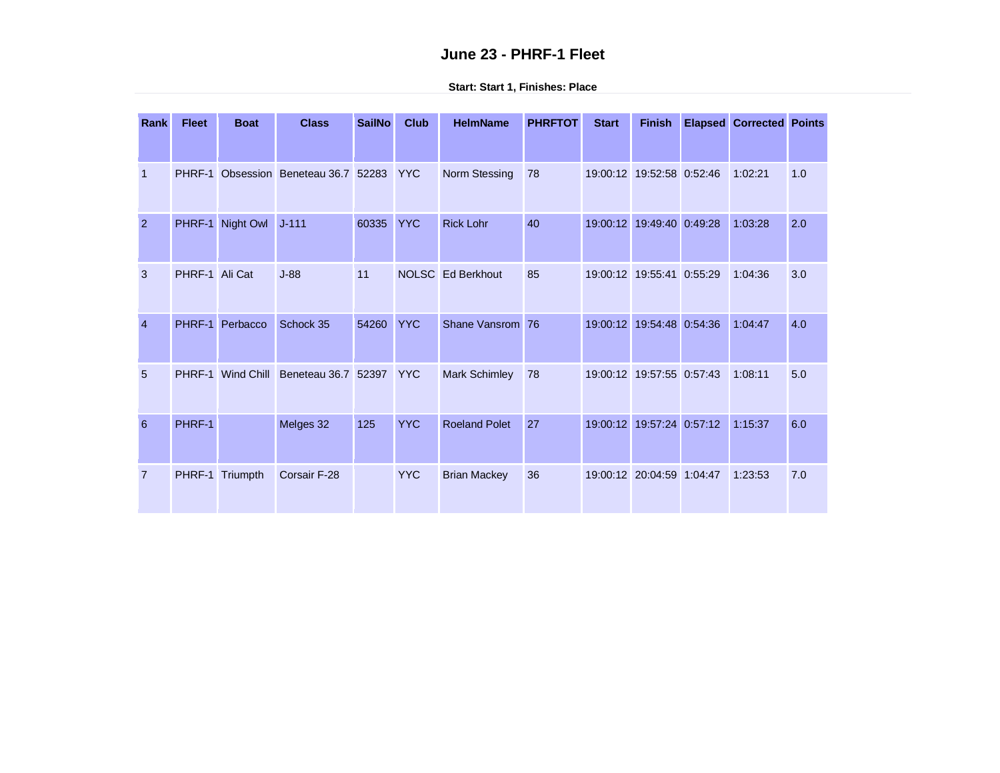## **June 23 - PHRF-1 Fleet**

| Rank           | <b>Fleet</b>   | <b>Boat</b>      | <b>Class</b>                  | <b>SailNo</b> | <b>Club</b> | <b>HelmName</b>      | <b>PHRFTOT</b> | <b>Start</b> | <b>Finish</b>             | <b>Elapsed</b> | <b>Corrected Points</b> |     |
|----------------|----------------|------------------|-------------------------------|---------------|-------------|----------------------|----------------|--------------|---------------------------|----------------|-------------------------|-----|
|                |                |                  |                               |               |             |                      |                |              |                           |                |                         |     |
| $\mathbf 1$    | PHRF-1         |                  | Obsession Beneteau 36.7 52283 |               | <b>YYC</b>  | Norm Stessing        | 78             |              | 19:00:12 19:52:58 0:52:46 |                | 1:02:21                 | 1.0 |
| 2              |                | PHRF-1 Night Owl | $J - 111$                     | 60335         | <b>YYC</b>  | <b>Rick Lohr</b>     | 40             |              | 19:00:12 19:49:40 0:49:28 |                | 1:03:28                 | 2.0 |
| 3              | PHRF-1 Ali Cat |                  | $J-88$                        | 11            |             | NOLSC Ed Berkhout    | 85             |              | 19:00:12 19:55:41 0:55:29 |                | 1:04:36                 | 3.0 |
| $\overline{4}$ | PHRF-1         | Perbacco         | Schock 35                     | 54260         | <b>YYC</b>  | Shane Vansrom 76     |                |              | 19:00:12 19:54:48         | 0:54:36        | 1:04:47                 | 4.0 |
| 5              | PHRF-1         | Wind Chill       | Beneteau 36.7 52397           |               | <b>YYC</b>  | <b>Mark Schimley</b> | 78             |              | 19:00:12 19:57:55 0:57:43 |                | 1:08:11                 | 5.0 |
| 6              | PHRF-1         |                  | Melges 32                     | 125           | <b>YYC</b>  | <b>Roeland Polet</b> | 27             |              | 19:00:12 19:57:24 0:57:12 |                | 1:15:37                 | 6.0 |
| $\overline{7}$ |                | PHRF-1 Triumpth  | Corsair F-28                  |               | <b>YYC</b>  | <b>Brian Mackey</b>  | 36             |              | 19:00:12 20:04:59 1:04:47 |                | 1:23:53                 | 7.0 |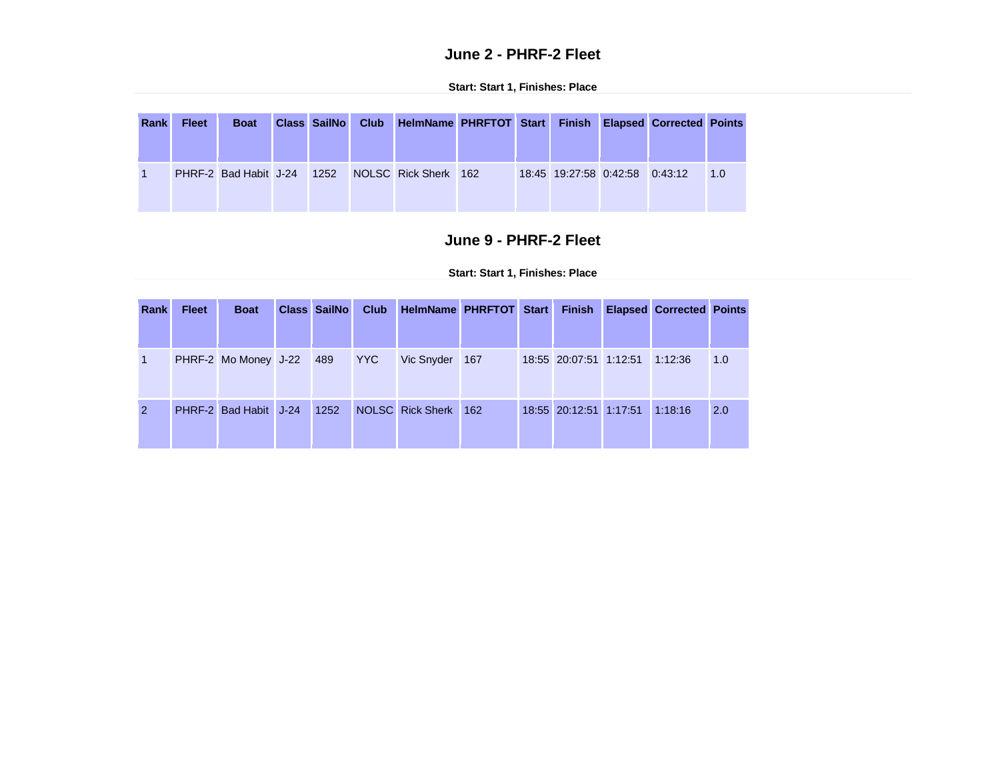## **June 2 - PHRF-2 Fleet**

**Start: Start 1, Finishes: Place**

| Rank | <b>Fleet</b> | <b>Boat</b>                |  | Class SailNo Club | HelmName PHRFTOT Start Finish Elapsed Corrected Points |  |                                |  |     |
|------|--------------|----------------------------|--|-------------------|--------------------------------------------------------|--|--------------------------------|--|-----|
|      |              | PHRF-2 Bad Habit J-24 1252 |  |                   | NOLSC Rick Sherk 162                                   |  | 18:45 19:27:58 0:42:58 0:43:12 |  | 1.0 |

## **June 9 - PHRF-2 Fleet**

| Rank           | <b>Fleet</b> | <b>Boat</b>                  | <b>Class SailNo</b> | Club | HelmName PHRFTOT Start |  |                        | <b>Finish Elapsed Corrected Points</b> |     |
|----------------|--------------|------------------------------|---------------------|------|------------------------|--|------------------------|----------------------------------------|-----|
|                |              |                              |                     |      |                        |  |                        |                                        |     |
| $\mathbf{1}$   |              | PHRF-2 Mo Money J-22 489 YYC |                     |      | Vic Snyder 167         |  | 18:55 20:07:51 1:12:51 | 1:12:36                                | 1.0 |
| $\overline{2}$ |              | PHRF-2 Bad Habit J-24 1252   |                     |      | NOLSC Rick Sherk 162   |  | 18:55 20:12:51 1:17:51 | 1:18:16                                | 2.0 |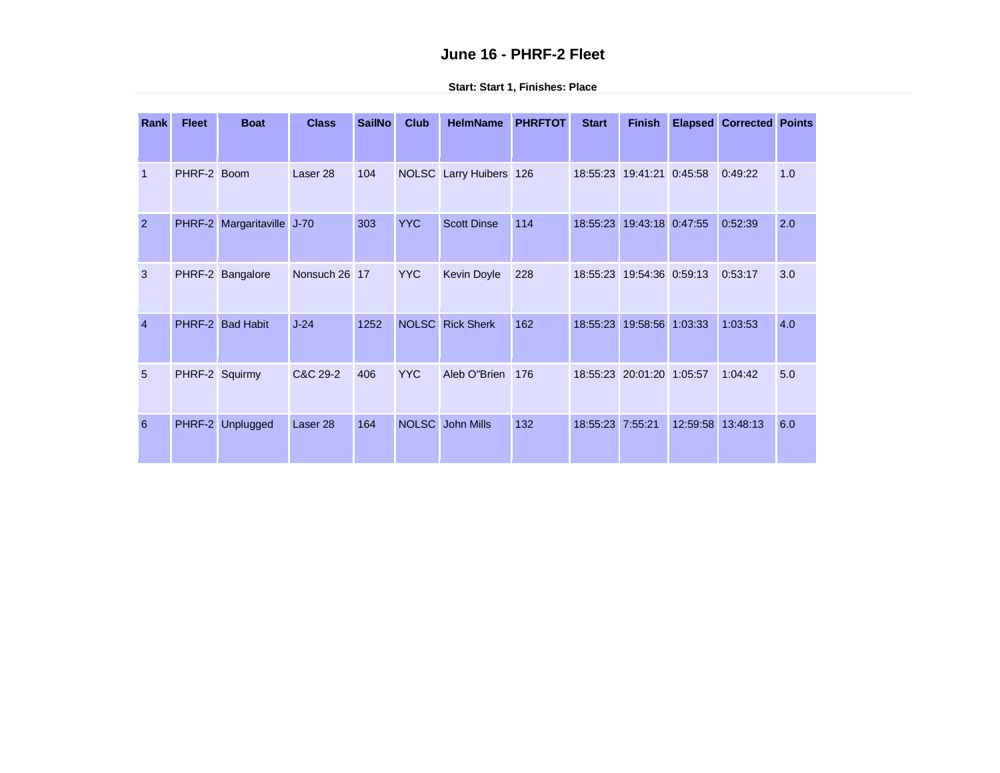### **June 16 - PHRF-2 Fleet**

| Rank           | <b>Fleet</b> | <b>Boat</b>         | <b>Class</b>        | <b>SailNo</b> | <b>Club</b>  | <b>HelmName</b>         | <b>PHRFTOT</b> | <b>Start</b> | <b>Finish</b>             | <b>Elapsed</b> | <b>Corrected Points</b> |     |
|----------------|--------------|---------------------|---------------------|---------------|--------------|-------------------------|----------------|--------------|---------------------------|----------------|-------------------------|-----|
| $\mathbf{1}$   | PHRF-2 Boom  |                     | Laser <sub>28</sub> | 104           |              | NOLSC Larry Huibers 126 |                |              | 18:55:23 19:41:21 0:45:58 |                | 0:49:22                 | 1.0 |
| 2              | PHRF-2       | Margaritaville J-70 |                     | 303           | <b>YYC</b>   | <b>Scott Dinse</b>      | 114            | 18:55:23     | 19:43:18 0:47:55          |                | 0:52:39                 | 2.0 |
| 3              |              | PHRF-2 Bangalore    | Nonsuch 26 17       |               | <b>YYC</b>   | <b>Kevin Doyle</b>      | 228            |              | 18:55:23 19:54:36 0:59:13 |                | 0:53:17                 | 3.0 |
| $\overline{4}$ |              | PHRF-2 Bad Habit    | $J-24$              | 1252          | <b>NOLSC</b> | <b>Rick Sherk</b>       | 162            | 18:55:23     | 19:58:56 1:03:33          |                | 1:03:53                 | 4.0 |
| 5              |              | PHRF-2 Squirmy      | C&C 29-2            | 406           | <b>YYC</b>   | Aleb O"Brien            | 176            |              | 18:55:23 20:01:20 1:05:57 |                | 1:04:42                 | 5.0 |
| 6              | PHRF-2       | Unplugged           | Laser <sub>28</sub> | 164           | <b>NOLSC</b> | John Mills              | 132            | 18:55:23     | 7:55:21                   | 12:59:58       | 13:48:13                | 6.0 |